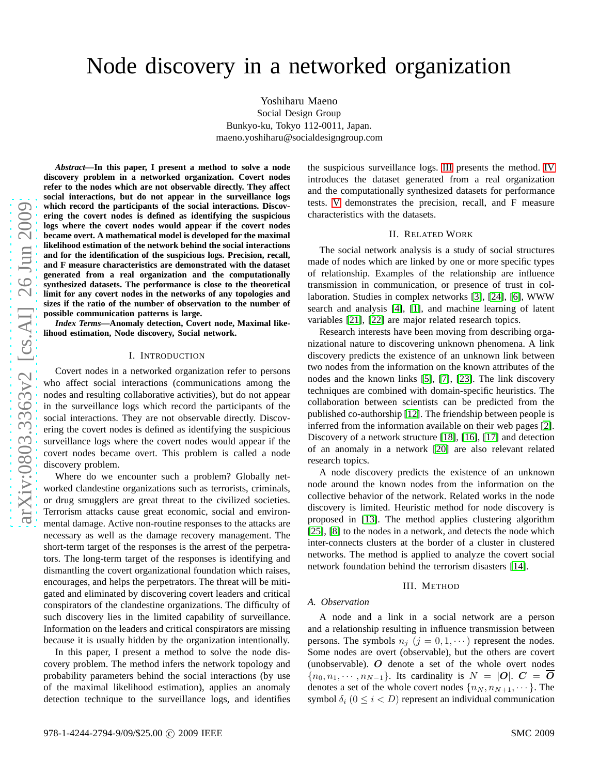Yoshiharu Maeno Social Design Group Bunkyo-ku, Tokyo 112-0011, Japan. maeno.yoshiharu@socialdesigngroup.com

*Abstract***—In this paper, I present a method to solve a node discovery problem in a networked organization. Covert node s refer to the nodes which are not observable directly. They affect social interactions, but do not appear in the surveillance logs which record the participants of the social interactions. Discovering the covert nodes is defined as identifying the suspicious logs where the covert nodes would appear if the covert nodes became overt. A mathematical model is developed for the maximal likelihood estimation of the network behind the social interactions and for the identification of the suspicious logs. Precision, recall, and F measure characteristics are demonstrated with the dataset generated from a real organization and the computationally synthesized datasets. The performance is close to the theoretical limit for any covert nodes in the networks of any topologies and sizes if the ratio of the number of observation to the number o f possible communication patterns is large.**

*Index Terms***—Anomaly detection, Covert node, Maximal likelihood estimation, Node discovery, Social network.**

#### I. INTRODUCTION

Covert nodes in a networked organization refer to persons who affect social interactions (communications among the nodes and resulting collaborative activities), but do not appear in the surveillance logs which record the participants of th e social interactions. They are not observable directly. Discovering the covert nodes is defined as identifying the suspicious surveillance logs where the covert nodes would appear if the covert nodes became overt. This problem is called a node discovery problem.

Where do we encounter such a problem? Globally networked clandestine organizations such as terrorists, criminals, or drug smugglers are great threat to the civilized societies. Terrorism attacks cause great economic, social and environ mental damage. Active non-routine responses to the attacks are necessary as well as the damage recovery management. The short-term target of the responses is the arrest of the perpetrators. The long-term target of the responses is identifying and dismantling the covert organizational foundation which raises, encourages, and helps the perpetrators. The threat will be mitigated and eliminated by discovering covert leaders and critical conspirators of the clandestine organizations. The difficulty of such discovery lies in the limited capability of surveillance. Information on the leaders and critical conspirators are missing because it is usually hidden by the organization intentionally.

In this paper, I present a method to solve the node discovery problem. The method infers the network topology and probability parameters behind the social interactions (by use of the maximal likelihood estimation), applies an anomaly detection technique to the surveillance logs, and identifies

the suspicious surveillance logs. [III](#page-0-0) presents the method. [IV](#page-2-0) introduces the dataset generated from a real organization and the computationally synthesized datasets for performance tests. [V](#page-3-0) demonstrates the precision, recall, and F measure characteristics with the datasets.

## II. RELATED WORK

The social network analysis is a study of social structures made of nodes which are linked by one or more specific types of relationship. Examples of the relationship are influence transmission in communication, or presence of trust in collaboration. Studies in complex networks [\[3\]](#page-5-0), [\[24\]](#page-5-1), [\[6\]](#page-5-2), WWW search and analysis [\[4\]](#page-5-3), [\[1\]](#page-5-4), and machine learning of latent variables [\[21\]](#page-5-5), [\[22\]](#page-5-6) are major related research topics.

Research interests have been moving from describing organizational nature to discovering unknown phenomena. A link discovery predicts the existence of an unknown link between two nodes from the information on the known attributes of the nodes and the known links [\[5\]](#page-5-7), [\[7\]](#page-5-8), [\[23\]](#page-5-9). The link discovery techniques are combined with domain-specific heuristics. The collaboration between scientists can be predicted from the published co-authorship [\[12\]](#page-5-10). The friendship between people is inferred from the information available on their web pages [\[2\]](#page-5-11). Discovery of a network structure [\[18\]](#page-5-12), [\[16\]](#page-5-13), [\[17\]](#page-5-14) and detection of an anomaly in a network [\[20\]](#page-5-15) are also relevant related research topics.

A node discovery predicts the existence of an unknown node around the known nodes from the information on the collective behavior of the network. Related works in the nod e discovery is limited. Heuristic method for node discovery i s proposed in [\[13\]](#page-5-16). The method applies clustering algorithm [\[25\]](#page-5-17), [\[8\]](#page-5-18) to the nodes in a network, and detects the node which inter-connects clusters at the border of a cluster in clustered networks. The method is applied to analyze the covert social network foundation behind the terrorism disasters [\[14\]](#page-5-19).

## III. METHOD

### <span id="page-0-0"></span>*A. Observation*

A node and a link in a social network are a person and a relationship resulting in influence transmission between persons. The symbols  $n_j$   $(j = 0, 1, \cdots)$  represent the nodes. Some nodes are overt (observable), but the others are covert (unobservable).  $O$  denote a set of the whole overt nodes  $\{n_0, n_1, \cdots, n_{N-1}\}\$ . Its cardinality is  $N = |O|$ .  $C = \overline{O}$ denotes a set of the whole covert nodes  $\{n_N, n_{N+1}, \dots\}$ . The symbol  $\delta_i$   $(0 \leq i < D)$  represent an individual communication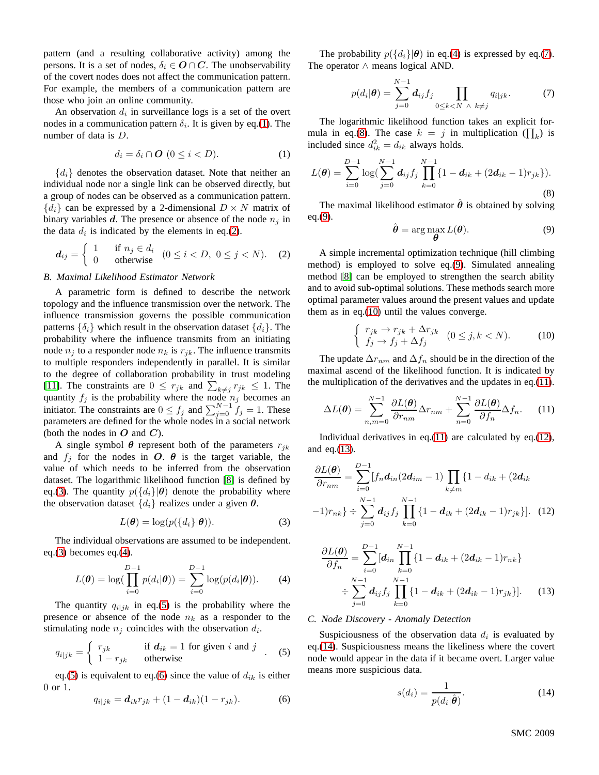pattern (and a resulting collaborative activity) among the persons. It is a set of nodes,  $\delta_i \in \mathbf{O} \cap \mathbf{C}$ . The unobservability of the covert nodes does not affect the communication pattern. For example, the members of a communication pattern are those who join an online community.

An observation  $d_i$  in surveillance logs is a set of the overt nodes in a communication pattern  $\delta_i$ . It is given by eq.[\(1\)](#page-1-0). The number of data is D.

<span id="page-1-0"></span>
$$
d_i = \delta_i \cap \mathbf{O} \ (0 \leq i < D). \tag{1}
$$

 ${d_i}$  denotes the observation dataset. Note that neither an individual node nor a single link can be observed directly, but a group of nodes can be observed as a communication pattern.  ${d_i}$  can be expressed by a 2-dimensional  $D \times N$  matrix of binary variables d. The presence or absence of the node  $n_i$  in the data  $d_i$  is indicated by the elements in eq.[\(2\)](#page-1-1).

<span id="page-1-1"></span>
$$
\boldsymbol{d}_{ij} = \begin{cases} 1 & \text{if } n_j \in d_i \\ 0 & \text{otherwise} \end{cases} \quad (0 \leq i < D, \ 0 \leq j < N). \tag{2}
$$

## *B. Maximal Likelihood Estimator Network*

A parametric form is defined to describe the network topology and the influence transmission over the network. The influence transmission governs the possible communication patterns  $\{\delta_i\}$  which result in the observation dataset  $\{d_i\}$ . The probability where the influence transmits from an initiating node  $n_i$  to a responder node  $n_k$  is  $r_{ik}$ . The influence transmits to multiple responders independently in parallel. It is similar to the degree of collaboration probability in trust modeling [\[11\]](#page-5-20). The constraints are  $0 \leq r_{jk}$  and  $\sum_{k \neq j} r_{jk} \leq 1$ . The quantity  $f_j$  is the probability where the node  $n_j$  becomes an initiator. The constraints are  $0 \le f_j$  and  $\sum_{j=0}^{N-1} f_j = 1$ . These parameters are defined for the whole nodes in a social network (both the nodes in  $O$  and  $C$ ).

A single symbol  $\theta$  represent both of the parameters  $r_{jk}$ and  $f_j$  for the nodes in O.  $\theta$  is the target variable, the value of which needs to be inferred from the observation dataset. The logarithmic likelihood function [\[8\]](#page-5-18) is defined by eq.[\(3\)](#page-1-2). The quantity  $p({d_i}|\theta)$  denote the probability where the observation dataset  $\{d_i\}$  realizes under a given  $\theta$ .

<span id="page-1-2"></span>
$$
L(\boldsymbol{\theta}) = \log(p(\lbrace d_i \rbrace | \boldsymbol{\theta})).
$$
\n(3)

The individual observations are assumed to be independent. eq.[\(3\)](#page-1-2) becomes eq.[\(4\)](#page-1-3).

<span id="page-1-3"></span>
$$
L(\boldsymbol{\theta}) = \log\left(\prod_{i=0}^{D-1} p(d_i|\boldsymbol{\theta})\right) = \sum_{i=0}^{D-1} \log(p(d_i|\boldsymbol{\theta})).
$$
 (4)

The quantity  $q_{i|jk}$  in eq.[\(5\)](#page-1-4) is the probability where the presence or absence of the node  $n_k$  as a responder to the stimulating node  $n_j$  coincides with the observation  $d_i$ .

<span id="page-1-4"></span>
$$
q_{i|jk} = \begin{cases} r_{jk} & \text{if } d_{ik} = 1 \text{ for given } i \text{ and } j \\ 1 - r_{jk} & \text{otherwise} \end{cases}
$$
 (5)

eq.[\(5\)](#page-1-4) is equivalent to eq.[\(6\)](#page-1-5) since the value of  $d_{ik}$  is either 0 or 1.

<span id="page-1-5"></span>
$$
q_{i|jk} = \mathbf{d}_{ik}r_{jk} + (1 - \mathbf{d}_{ik})(1 - r_{jk}).
$$
 (6)

The probability  $p({d_i}|\theta)$  in eq.[\(4\)](#page-1-3) is expressed by eq.[\(7\)](#page-1-6). The operator ∧ means logical AND.

<span id="page-1-6"></span>
$$
p(d_i|\boldsymbol{\theta}) = \sum_{j=0}^{N-1} d_{ij} f_j \prod_{0 \le k < N \ \wedge \ k \ne j} q_{i|jk}.\tag{7}
$$

The logarithmic likelihood function takes an explicit for-mula in eq.[\(8\)](#page-1-7). The case  $k = j$  in multiplication ( $\prod_k$ ) is included since  $d_{ik}^2 = d_{ik}$  always holds.

<span id="page-1-7"></span>
$$
L(\boldsymbol{\theta}) = \sum_{i=0}^{D-1} \log(\sum_{j=0}^{N-1} \boldsymbol{d}_{ij} f_j \prod_{k=0}^{N-1} \{1 - \boldsymbol{d}_{ik} + (2\boldsymbol{d}_{ik} - 1)r_{jk}\}).
$$
\n(8)

The maximal likelihood estimator  $\hat{\theta}$  is obtained by solving eq.[\(9\)](#page-1-8).

<span id="page-1-8"></span>
$$
\hat{\boldsymbol{\theta}} = \arg \max_{\boldsymbol{\theta}} L(\boldsymbol{\theta}). \tag{9}
$$

A simple incremental optimization technique (hill climbing method) is employed to solve eq.[\(9\)](#page-1-8). Simulated annealing method [\[8\]](#page-5-18) can be employed to strengthen the search ability and to avoid sub-optimal solutions. These methods search more optimal parameter values around the present values and update them as in eq.[\(10\)](#page-1-9) until the values converge.

<span id="page-1-9"></span>
$$
\begin{cases} r_{jk} \to r_{jk} + \Delta r_{jk} \\ f_j \to f_j + \Delta f_j \end{cases} (0 \le j, k < N). \tag{10}
$$

The update  $\Delta r_{nm}$  and  $\Delta f_n$  should be in the direction of the maximal ascend of the likelihood function. It is indicated by the multiplication of the derivatives and the updates in eq.[\(11\)](#page-1-10).

<span id="page-1-10"></span>
$$
\Delta L(\boldsymbol{\theta}) = \sum_{n,m=0}^{N-1} \frac{\partial L(\boldsymbol{\theta})}{\partial r_{nm}} \Delta r_{nm} + \sum_{n=0}^{N-1} \frac{\partial L(\boldsymbol{\theta})}{\partial f_n} \Delta f_n.
$$
 (11)

Individual derivatives in eq.[\(11\)](#page-1-10) are calculated by eq.[\(12\)](#page-1-11), and eq.[\(13\)](#page-1-12).

<span id="page-1-11"></span>
$$
\frac{\partial L(\boldsymbol{\theta})}{\partial r_{nm}} = \sum_{i=0}^{D-1} [f_n \boldsymbol{d}_{in} (2\boldsymbol{d}_{im} - 1) \prod_{k \neq m} \{1 - d_{ik} + (2\boldsymbol{d}_{ik} - 1)r_{nk}\} \div \sum_{j=0}^{N-1} \boldsymbol{d}_{ij} f_j \prod_{k=0}^{N-1} \{1 - \boldsymbol{d}_{ik} + (2\boldsymbol{d}_{ik} - 1)r_{jk}\}].
$$
 (12)

<span id="page-1-12"></span>
$$
\frac{\partial L(\boldsymbol{\theta})}{\partial f_n} = \sum_{i=0}^{D-1} [d_{in} \prod_{k=0}^{N-1} \{1 - d_{ik} + (2d_{ik} - 1)r_{nk}\}\n \div \sum_{j=0}^{N-1} d_{ij} f_j \prod_{k=0}^{N-1} \{1 - d_{ik} + (2d_{ik} - 1)r_{jk}\}].
$$
\n(13)

#### *C. Node Discovery - Anomaly Detection*

Suspiciousness of the observation data  $d_i$  is evaluated by eq.[\(14\)](#page-1-13). Suspiciousness means the likeliness where the covert node would appear in the data if it became overt. Larger value means more suspicious data.

<span id="page-1-13"></span>
$$
s(d_i) = \frac{1}{p(d_i|\hat{\boldsymbol{\theta}})}.
$$
\n(14)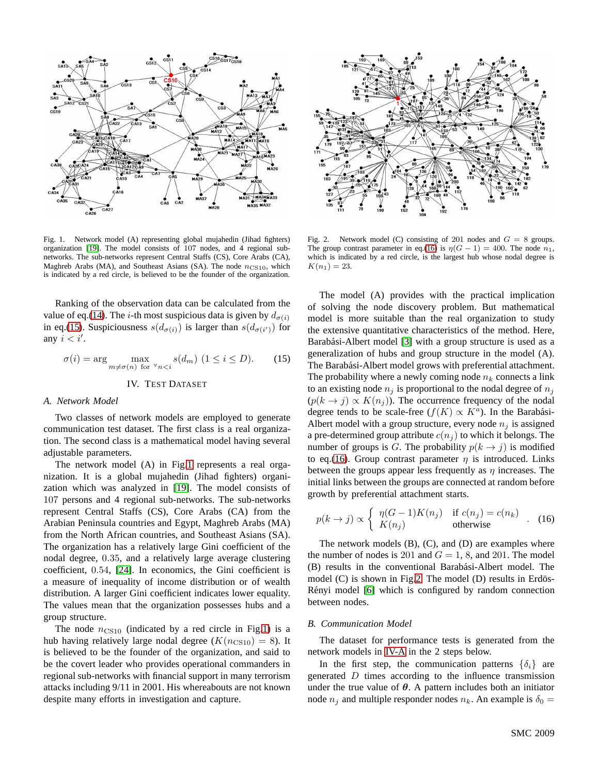

<span id="page-2-2"></span>Fig. 1. Network model (A) representing global mujahedin (Jihad fighters) organization [\[19\]](#page-5-21). The model consists of 107 nodes, and 4 regional subnetworks. The sub-networks represent Central Staffs (CS), Core Arabs (CA), Maghreb Arabs (MA), and Southeast Asians (SA). The node  $n_{CS10}$ , which is indicated by a red circle, is believed to be the founder of the organization.

Ranking of the observation data can be calculated from the value of eq.[\(14\)](#page-1-13). The *i*-th most suspicious data is given by  $d_{\sigma(i)}$ in eq.[\(15\)](#page-2-1). Suspiciousness  $s(d_{\sigma(i)})$  is larger than  $s(d_{\sigma(i')})$  for any  $i < i'$ .

<span id="page-2-1"></span>
$$
\sigma(i) = \arg \max_{m \neq \sigma(n) \text{ for } \forall n < i} s(d_m) \ (1 \le i \le D). \tag{15}
$$

# IV. TEST DATASET

## <span id="page-2-5"></span><span id="page-2-0"></span>*A. Network Model*

Two classes of network models are employed to generate communication test dataset. The first class is a real organization. The second class is a mathematical model having several adjustable parameters.

The network model (A) in Fig[.1](#page-2-2) represents a real organization. It is a global mujahedin (Jihad fighters) organization which was analyzed in [\[19\]](#page-5-21). The model consists of 107 persons and 4 regional sub-networks. The sub-networks represent Central Staffs (CS), Core Arabs (CA) from the Arabian Peninsula countries and Egypt, Maghreb Arabs (MA) from the North African countries, and Southeast Asians (SA). The organization has a relatively large Gini coefficient of the nodal degree, 0.35, and a relatively large average clustering coefficient, 0.54, [\[24\]](#page-5-1). In economics, the Gini coefficient is a measure of inequality of income distribution or of wealth distribution. A larger Gini coefficient indicates lower equality. The values mean that the organization possesses hubs and a group structure.

The node  $n_{\text{CS10}}$  (indicated by a red circle in Fig[.1\)](#page-2-2) is a hub having relatively large nodal degree  $(K(n_{\text{CS10}}) = 8)$ . It is believed to be the founder of the organization, and said to be the covert leader who provides operational commanders in regional sub-networks with financial support in many terrorism attacks including 9/11 in 2001. His whereabouts are not known despite many efforts in investigation and capture.



<span id="page-2-4"></span>Fig. 2. Network model (C) consisting of 201 nodes and  $G = 8$  groups. The group contrast parameter in eq.[\(16\)](#page-2-3) is  $\eta(G - 1) = 400$ . The node  $n_1$ , which is indicated by a red circle, is the largest hub whose nodal degree is  $K(n_1) = 23.$ 

The model (A) provides with the practical implication of solving the node discovery problem. But mathematical model is more suitable than the real organization to study the extensive quantitative characteristics of the method. Here, Barabási-Albert model [\[3\]](#page-5-0) with a group structure is used as a generalization of hubs and group structure in the model (A). The Barabási-Albert model grows with preferential attachment. The probability where a newly coming node  $n_k$  connects a link to an existing node  $n_i$  is proportional to the nodal degree of  $n_i$  $(p(k \rightarrow j) \propto K(n_j))$ . The occurrence frequency of the nodal degree tends to be scale-free  $(f(K) \propto K^a)$ . In the Barabási-Albert model with a group structure, every node  $n_j$  is assigned a pre-determined group attribute  $c(n_i)$  to which it belongs. The number of groups is G. The probability  $p(k \rightarrow j)$  is modified to eq.[\(16\)](#page-2-3). Group contrast parameter  $\eta$  is introduced. Links between the groups appear less frequently as  $\eta$  increases. The initial links between the groups are connected at random before growth by preferential attachment starts.

<span id="page-2-3"></span>
$$
p(k \to j) \propto \begin{cases} \eta(G-1)K(n_j) & \text{if } c(n_j) = c(n_k) \\ K(n_j) & \text{otherwise} \end{cases} . \tag{16}
$$

The network models (B), (C), and (D) are examples where the number of nodes is 201 and  $G = 1$ , 8, and 201. The model (B) results in the conventional Barabási-Albert model. The model  $(C)$  is shown in Fig[.2.](#page-2-4) The model  $(D)$  results in Erdös-Rényi model [\[6\]](#page-5-2) which is configured by random connection between nodes.

#### <span id="page-2-6"></span>*B. Communication Model*

The dataset for performance tests is generated from the network models in [IV-A](#page-2-5) in the 2 steps below.

In the first step, the communication patterns  $\{\delta_i\}$  are generated  $D$  times according to the influence transmission under the true value of  $\theta$ . A pattern includes both an initiator node  $n_j$  and multiple responder nodes  $n_k$ . An example is  $\delta_0 =$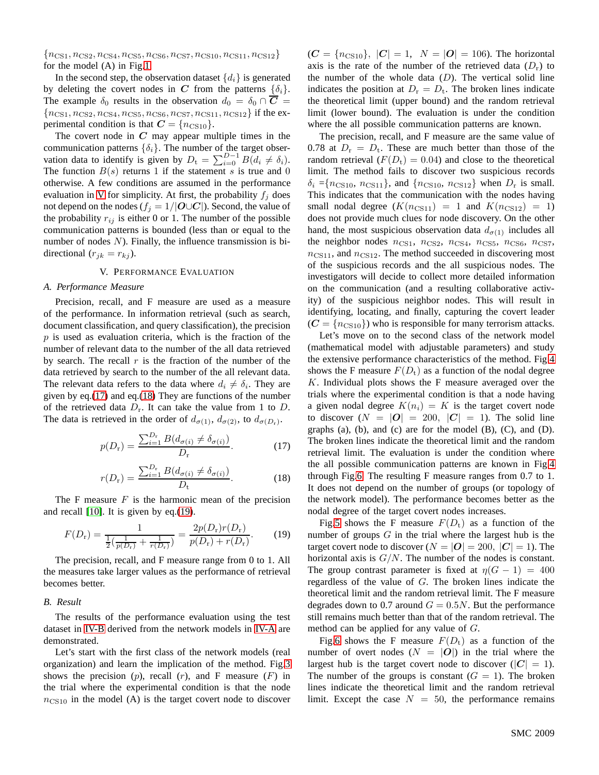${n_{\text{CS1}}, n_{\text{CS2}}, n_{\text{CS4}}, n_{\text{CS5}}, n_{\text{CS6}}, n_{\text{CS7}}, n_{\text{CS10}}, n_{\text{CS11}}, n_{\text{CS12}}\}$ for the model (A) in Fig[.1.](#page-2-2)

In the second step, the observation dataset  $\{d_i\}$  is generated by deleting the covert nodes in C from the patterns  $\{\delta_i\}$ . The example  $\delta_0$  results in the observation  $d_0 = \delta_0 \cap \overline{C}$  ${n_{\text{CS1}}, n_{\text{CS2}}, n_{\text{CS4}}, n_{\text{CS5}}, n_{\text{CS6}}, n_{\text{CS7}}, n_{\text{CS11}}, n_{\text{CS12}}\}$  if the experimental condition is that  $C = \{n_{\text{CS10}}\}.$ 

The covert node in  $C$  may appear multiple times in the communication patterns  $\{\delta_i\}$ . The number of the target observation data to identify is given by  $D_t = \sum_{i=0}^{D-1} B(d_i \neq \delta_i)$ . The function  $B(s)$  returns 1 if the statement s is true and 0 otherwise. A few conditions are assumed in the performance evaluation in [V](#page-3-0) for simplicity. At first, the probability  $f_i$  does not depend on the nodes ( $f_j = 1/|\mathbf{O} \cup \mathbf{C}|$ ). Second, the value of the probability  $r_{ij}$  is either 0 or 1. The number of the possible communication patterns is bounded (less than or equal to the number of nodes  $N$ ). Finally, the influence transmission is bidirectional  $(r_{jk} = r_{kj})$ .

## V. PERFORMANCE EVALUATION

#### <span id="page-3-0"></span>*A. Performance Measure*

Precision, recall, and F measure are used as a measure of the performance. In information retrieval (such as search, document classification, and query classification), the precision  $p$  is used as evaluation criteria, which is the fraction of the number of relevant data to the number of the all data retrieved by search. The recall  $r$  is the fraction of the number of the data retrieved by search to the number of the all relevant data. The relevant data refers to the data where  $d_i \neq \delta_i$ . They are given by eq.[\(17\)](#page-3-1) and eq.[\(18\)](#page-3-2) They are functions of the number of the retrieved data  $D_r$ . It can take the value from 1 to D. The data is retrieved in the order of  $d_{\sigma(1)}$ ,  $d_{\sigma(2)}$ , to  $d_{\sigma(D_r)}$ .

<span id="page-3-1"></span>
$$
p(D_{\rm r}) = \frac{\sum_{i=1}^{D_{\rm r}} B(d_{\sigma(i)} \neq \delta_{\sigma(i)})}{D_{\rm r}}.
$$
 (17)

<span id="page-3-2"></span>
$$
r(D_{\rm r}) = \frac{\sum_{i=1}^{D_{\rm r}} B(d_{\sigma(i)} \neq \delta_{\sigma(i)})}{D_{\rm t}}.
$$
 (18)

The F measure  $F$  is the harmonic mean of the precision and recall [\[10\]](#page-5-22). It is given by eq.[\(19\)](#page-3-3).

<span id="page-3-3"></span>
$$
F(D_{\rm r}) = \frac{1}{\frac{1}{2}(\frac{1}{p(D_{\rm r})} + \frac{1}{r(D_{\rm r})})} = \frac{2p(D_{\rm r})r(D_{\rm r})}{p(D_{\rm r}) + r(D_{\rm r})}.
$$
 (19)

The precision, recall, and F measure range from 0 to 1. All the measures take larger values as the performance of retrieval becomes better.

### *B. Result*

The results of the performance evaluation using the test dataset in [IV-B](#page-2-6) derived from the network models in [IV-A](#page-2-5) are demonstrated.

Let's start with the first class of the network models (real organization) and learn the implication of the method. Fig[.3](#page-4-0) shows the precision  $(p)$ , recall  $(r)$ , and F measure  $(F)$  in the trial where the experimental condition is that the node  $n_{\text{CS10}}$  in the model (A) is the target covert node to discover  $(C = \{n_{\text{CS10}}\}, |C| = 1, N = |O| = 106$ . The horizontal axis is the rate of the number of the retrieved data  $(D<sub>r</sub>)$  to the number of the whole data  $(D)$ . The vertical solid line indicates the position at  $D_r = D_t$ . The broken lines indicate the theoretical limit (upper bound) and the random retrieval limit (lower bound). The evaluation is under the condition where the all possible communication patterns are known.

The precision, recall, and F measure are the same value of 0.78 at  $D_r = D_t$ . These are much better than those of the random retrieval  $(F(D_t) = 0.04)$  and close to the theoretical limit. The method fails to discover two suspicious records  $\delta_i = {n_{\text{CS10}}}, n_{\text{CS11}}\},$  and  ${n_{\text{CS10}}}, n_{\text{CS12}}\}$  when  $D_r$  is small. This indicates that the communication with the nodes having small nodal degree  $(K(n_{\text{CS11}}) = 1$  and  $K(n_{\text{CS12}}) = 1)$ does not provide much clues for node discovery. On the other hand, the most suspicious observation data  $d_{\sigma(1)}$  includes all the neighbor nodes  $n_{CS1}$ ,  $n_{CS2}$ ,  $n_{CS4}$ ,  $n_{CS5}$ ,  $n_{CS6}$ ,  $n_{CS7}$ ,  $n_{\text{CS11}}$ , and  $n_{\text{CS12}}$ . The method succeeded in discovering most of the suspicious records and the all suspicious nodes. The investigators will decide to collect more detailed information on the communication (and a resulting collaborative activity) of the suspicious neighbor nodes. This will result in identifying, locating, and finally, capturing the covert leader  $(C = \{n_{\text{CS10}}\})$  who is responsible for many terrorism attacks.

Let's move on to the second class of the network model (mathematical model with adjustable parameters) and study the extensive performance characteristics of the method. Fig[.4](#page-4-1) shows the F measure  $F(D_t)$  as a function of the nodal degree  $K$ . Individual plots shows the F measure averaged over the trials where the experimental condition is that a node having a given nodal degree  $K(n_i) = K$  is the target covert node to discover  $(N = |O| = 200, |C| = 1)$ . The solid line graphs (a), (b), and (c) are for the model (B), (C), and (D). The broken lines indicate the theoretical limit and the random retrieval limit. The evaluation is under the condition where the all possible communication patterns are known in Fig[.4](#page-4-1) through Fig[.6.](#page-4-2) The resulting F measure ranges from 0.7 to 1. It does not depend on the number of groups (or topology of the network model). The performance becomes better as the nodal degree of the target covert nodes increases.

Fig[.5](#page-4-3) shows the F measure  $F(D_t)$  as a function of the number of groups  $G$  in the trial where the largest hub is the target covert node to discover  $(N = |O| = 200, |C| = 1)$ . The horizontal axis is  $G/N$ . The number of the nodes is constant. The group contrast parameter is fixed at  $\eta(G - 1) = 400$ regardless of the value of G. The broken lines indicate the theoretical limit and the random retrieval limit. The F measure degrades down to 0.7 around  $G = 0.5N$ . But the performance still remains much better than that of the random retrieval. The method can be applied for any value of G.

Fig[.6](#page-4-2) shows the F measure  $F(D_t)$  as a function of the number of overt nodes  $(N = |O|)$  in the trial where the largest hub is the target covert node to discover  $(|C| = 1)$ . The number of the groups is constant  $(G = 1)$ . The broken lines indicate the theoretical limit and the random retrieval limit. Except the case  $N = 50$ , the performance remains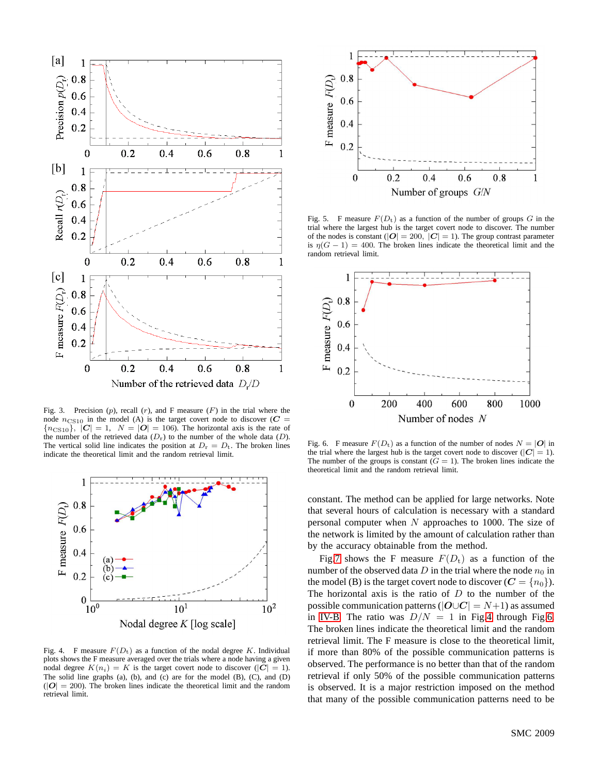

<span id="page-4-0"></span>Fig. 3. Precision  $(p)$ , recall  $(r)$ , and F measure  $(F)$  in the trial where the node  $n_{\text{CS10}}$  in the model (A) is the target covert node to discover ( $C$  =  ${n_{\text{CS10}}}$ ,  $|\mathbf{C}| = 1$ ,  $N = |\mathbf{O}| = 106$ ). The horizontal axis is the rate of the number of the retrieved data  $(D<sub>r</sub>)$  to the number of the whole data  $(D)$ . The vertical solid line indicates the position at  $D_r = D_t$ . The broken lines indicate the theoretical limit and the random retrieval limit.



<span id="page-4-1"></span>Fig. 4. F measure  $F(D_t)$  as a function of the nodal degree K. Individual plots shows the F measure averaged over the trials where a node having a given nodal degree  $K(n_i) = K$  is the target covert node to discover ( $|C| = 1$ ). The solid line graphs (a), (b), and (c) are for the model (B), (C), and (D)  $(|O| = 200)$ . The broken lines indicate the theoretical limit and the random retrieval limit.



<span id="page-4-3"></span>Fig. 5. F measure  $F(D_t)$  as a function of the number of groups G in the trial where the largest hub is the target covert node to discover. The number of the nodes is constant ( $|O| = 200$ ,  $|C| = 1$ ). The group contrast parameter is  $\eta(G - 1) = 400$ . The broken lines indicate the theoretical limit and the random retrieval limit.



<span id="page-4-2"></span>Fig. 6. F measure  $F(D_t)$  as a function of the number of nodes  $N = |O|$  in the trial where the largest hub is the target covert node to discover ( $|C| = 1$ ). The number of the groups is constant  $(G = 1)$ . The broken lines indicate the theoretical limit and the random retrieval limit.

constant. The method can be applied for large networks. Note that several hours of calculation is necessary with a standard personal computer when  $N$  approaches to 1000. The size of the network is limited by the amount of calculation rather than by the accuracy obtainable from the method.

Fig[.7](#page-5-23) shows the F measure  $F(D_t)$  as a function of the number of the observed data D in the trial where the node  $n_0$  in the model (B) is the target covert node to discover  $(C = \{n_0\})$ . The horizontal axis is the ratio of  $D$  to the number of the possible communication patterns ( $|O \cup C| = N+1$ ) as assumed in [IV-B.](#page-2-6) The ratio was  $D/N = 1$  in Fig[.4](#page-4-1) through Fig[.6.](#page-4-2) The broken lines indicate the theoretical limit and the random retrieval limit. The F measure is close to the theoretical limit, if more than 80% of the possible communication patterns is observed. The performance is no better than that of the random retrieval if only 50% of the possible communication patterns is observed. It is a major restriction imposed on the method that many of the possible communication patterns need to be